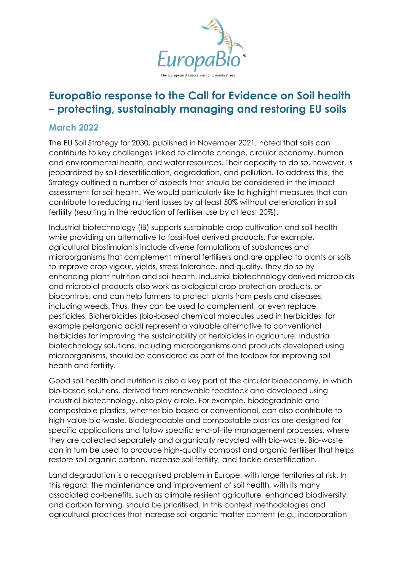

## **EuropaBio response to the Call for Evidence on Soil health – protecting, sustainably managing and restoring EU soils**

## **March 2022**

The EU Soil Strategy for 2030, published in November 2021, noted that soils can contribute to key challenges linked to climate change, circular economy, human and environmental health, and water resources. Their capacity to do so, however, is jeopardized by soil desertification, degradation, and pollution. To address this, the Strategy outlined a number of aspects that should be considered in the impact assessment for soil health. We would particularly like to highlight measures that can contribute to reducing nutrient losses by at least 50% without deterioration in soil fertility (resulting in the reduction of fertiliser use by at least 20%).

Industrial biotechnology (IB) supports sustainable crop cultivation and soil health while providing an alternative to fossil-fuel derived products. For example, agricultural biostimulants include diverse formulations of substances and microorganisms that complement mineral fertilisers and are applied to plants or soils to improve crop vigour, yields, stress tolerance, and quality. They do so by enhancing plant nutrition and soil health. Industrial biotechnology derived microbials and microbial products also work as biological crop protection products, or biocontrols, and can help farmers to protect plants from pests and diseases, including weeds. Thus, they can be used to complement, or even replace pesticides. Bioherbicides (bio-based chemical molecules used in herbicides, for example pelargonic acid) represent a valuable alternative to conventional herbicides for improving the sustainability of herbicides in agriculture. Industrial biotechnology solutions, including microorganisms and products developed using microorganisms, should be considered as part of the toolbox for improving soil health and fertility.

Good soil health and nutrition is also a key part of the circular bioeconomy, in which bio-based solutions, derived from renewable feedstock and developed using industrial biotechnology, also play a role. For example, biodegradable and compostable plastics, whether bio-based or conventional, can also contribute to high-value bio-waste. Biodegradable and compostable plastics are designed for specific applications and follow specific end-of-life management processes, where they are collected separately and organically recycled with bio-waste. Bio-waste can in turn be used to produce high-quality compost and organic fertiliser that helps restore soil organic carbon, increase soil fertility, and tackle desertification.

Land degradation is a recognised problem in Europe, with large territories at risk. In this regard, the maintenance and improvement of soil health, with its many associated co-benefits, such as climate resilient agriculture, enhanced biodiversity, and carbon farming, should be prioritised. In this context methodologies and agricultural practices that increase soil organic matter content (e.g., incorporation